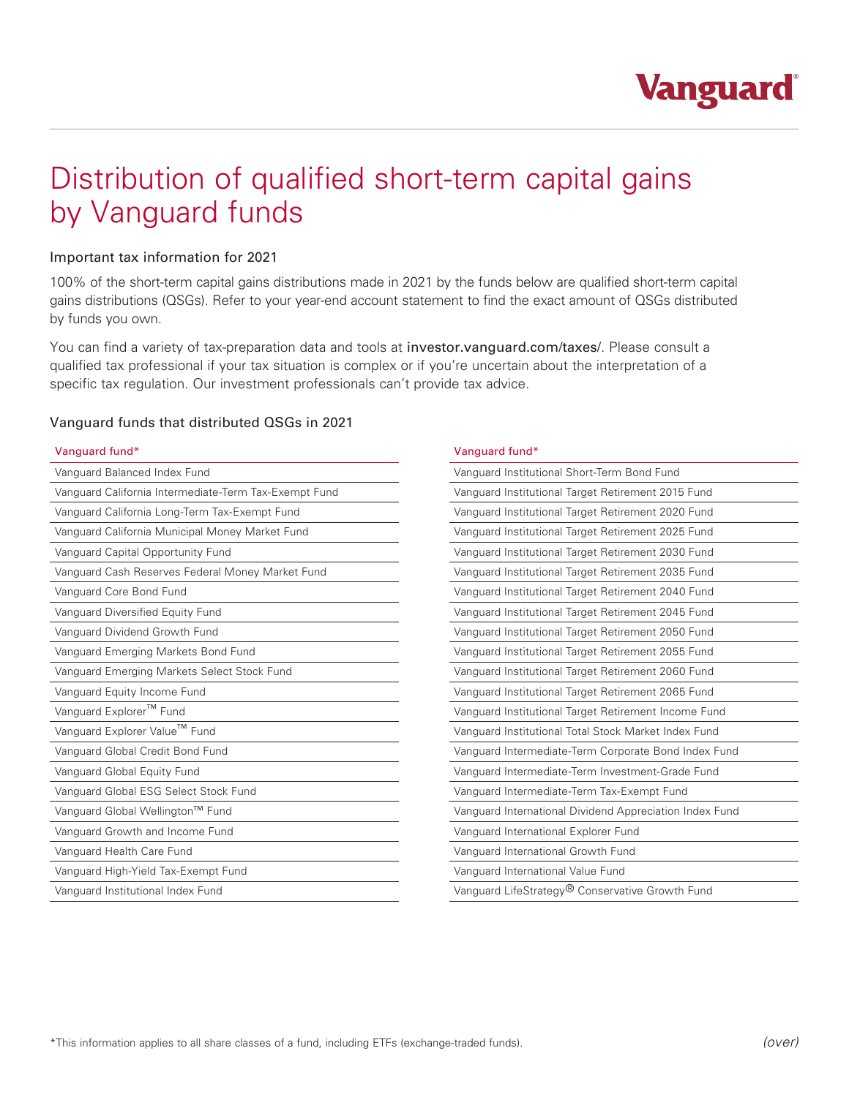

# Distribution of qualified short-term capital gains by Vanguard funds

#### Important tax information for 2021

100% of the short-term capital gains distributions made in 2021 by the funds below are qualified short-term capital gains distributions (QSGs). Refer to your year-end account statement to find the exact amount of QSGs distributed by funds you own.

You can find a variety of tax-preparation data and tools at investor.vanguard.com/taxes/. Please consult a qualified tax professional if your tax situation is complex or if you're uncertain about the interpretation of a specific tax regulation. Our investment professionals can't provide tax advice.

#### Vanguard funds that distributed QSGs in 2021

|  |  | Vanguard fund* |
|--|--|----------------|
|  |  |                |

| Vanguard Balanced Index Fund                          | Vanquard Institutional Short-Term Bond Fund             |  |
|-------------------------------------------------------|---------------------------------------------------------|--|
| Vanquard California Intermediate-Term Tax-Exempt Fund | Vanguard Institutional Target Retirement 2015 Fund      |  |
| Vanguard California Long-Term Tax-Exempt Fund         | Vanguard Institutional Target Retirement 2020 Fund      |  |
| Vanguard California Municipal Money Market Fund       | Vanguard Institutional Target Retirement 2025 Fund      |  |
| Vanguard Capital Opportunity Fund                     | Vanguard Institutional Target Retirement 2030 Fund      |  |
| Vanguard Cash Reserves Federal Money Market Fund      | Vanguard Institutional Target Retirement 2035 Fund      |  |
| Vanguard Core Bond Fund                               | Vanguard Institutional Target Retirement 2040 Fund      |  |
| Vanguard Diversified Equity Fund                      | Vanguard Institutional Target Retirement 2045 Fund      |  |
| Vanguard Dividend Growth Fund                         | Vanguard Institutional Target Retirement 2050 Fund      |  |
| Vanguard Emerging Markets Bond Fund                   | Vanguard Institutional Target Retirement 2055 Fund      |  |
| Vanguard Emerging Markets Select Stock Fund           | Vanguard Institutional Target Retirement 2060 Fund      |  |
| Vanguard Equity Income Fund                           | Vanguard Institutional Target Retirement 2065 Fund      |  |
| Vanguard Explorer™ Fund                               | Vanquard Institutional Target Retirement Income Fund    |  |
| Vanguard Explorer Value™ Fund                         | Vanguard Institutional Total Stock Market Index Fund    |  |
| Vanguard Global Credit Bond Fund                      | Vanguard Intermediate-Term Corporate Bond Index Fund    |  |
| Vanguard Global Equity Fund                           | Vanquard Intermediate-Term Investment-Grade Fund        |  |
| Vanquard Global ESG Select Stock Fund                 | Vanquard Intermediate-Term Tax-Exempt Fund              |  |
| Vanquard Global Wellington™ Fund                      | Vanquard International Dividend Appreciation Index Fund |  |
| Vanguard Growth and Income Fund                       | Vanguard International Explorer Fund                    |  |
| Vanquard Health Care Fund                             | Vanquard International Growth Fund                      |  |
| Vanguard High-Yield Tax-Exempt Fund                   | Vanquard International Value Fund                       |  |
| Vanguard Institutional Index Fund                     | Vanguard LifeStrategy® Conservative Growth Fund         |  |

### Vanguard fund\*

| Vanquard Institutional Short-Term Bond Fund             |
|---------------------------------------------------------|
| Vanguard Institutional Target Retirement 2015 Fund      |
| Vanguard Institutional Target Retirement 2020 Fund      |
| Vanguard Institutional Target Retirement 2025 Fund      |
| Vanguard Institutional Target Retirement 2030 Fund      |
| Vanguard Institutional Target Retirement 2035 Fund      |
| Vanguard Institutional Target Retirement 2040 Fund      |
| Vanguard Institutional Target Retirement 2045 Fund      |
| Vanguard Institutional Target Retirement 2050 Fund      |
| Vanguard Institutional Target Retirement 2055 Fund      |
| Vanguard Institutional Target Retirement 2060 Fund      |
| Vanguard Institutional Target Retirement 2065 Fund      |
| Vanguard Institutional Target Retirement Income Fund    |
| Vanguard Institutional Total Stock Market Index Fund    |
| Vanguard Intermediate-Term Corporate Bond Index Fund    |
| Vanquard Intermediate-Term Investment-Grade Fund        |
| Vanguard Intermediate-Term Tax-Exempt Fund              |
| Vanguard International Dividend Appreciation Index Fund |
| Vanguard International Explorer Fund                    |
| Vanguard International Growth Fund                      |
| Vanquard International Value Fund                       |
| Vanguard LifeStrategy® Conservative Growth Fund         |